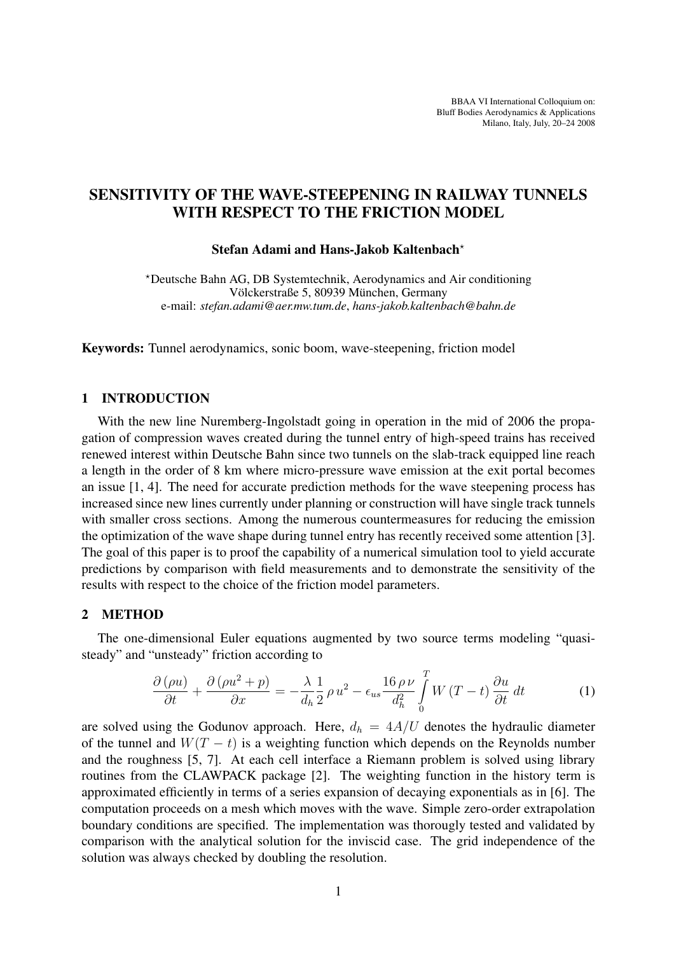BBAA VI International Colloquium on: Bluff Bodies Aerodynamics & Applications Milano, Italy, July, 20–24 2008

# SENSITIVITY OF THE WAVE-STEEPENING IN RAILWAY TUNNELS WITH RESPECT TO THE FRICTION MODEL

#### Stefan Adami and Hans-Jakob Kaltenbach?

?Deutsche Bahn AG, DB Systemtechnik, Aerodynamics and Air conditioning Völckerstraße 5, 80939 München, Germany e-mail: *stefan.adami@aer.mw.tum.de*, *hans-jakob.kaltenbach@bahn.de*

Keywords: Tunnel aerodynamics, sonic boom, wave-steepening, friction model

#### 1 INTRODUCTION

With the new line Nuremberg-Ingolstadt going in operation in the mid of 2006 the propagation of compression waves created during the tunnel entry of high-speed trains has received renewed interest within Deutsche Bahn since two tunnels on the slab-track equipped line reach a length in the order of 8 km where micro-pressure wave emission at the exit portal becomes an issue [1, 4]. The need for accurate prediction methods for the wave steepening process has increased since new lines currently under planning or construction will have single track tunnels with smaller cross sections. Among the numerous countermeasures for reducing the emission the optimization of the wave shape during tunnel entry has recently received some attention [3]. The goal of this paper is to proof the capability of a numerical simulation tool to yield accurate predictions by comparison with field measurements and to demonstrate the sensitivity of the results with respect to the choice of the friction model parameters.

### 2 METHOD

The one-dimensional Euler equations augmented by two source terms modeling "quasisteady" and "unsteady" friction according to

$$
\frac{\partial \left(\rho u\right)}{\partial t} + \frac{\partial \left(\rho u^2 + p\right)}{\partial x} = -\frac{\lambda}{d_h} \frac{1}{2} \rho u^2 - \epsilon_{us} \frac{16 \rho \nu}{d_h^2} \int_0^T W\left(T - t\right) \frac{\partial u}{\partial t} dt \tag{1}
$$

are solved using the Godunov approach. Here,  $d_h = 4A/U$  denotes the hydraulic diameter of the tunnel and  $W(T - t)$  is a weighting function which depends on the Reynolds number and the roughness [5, 7]. At each cell interface a Riemann problem is solved using library routines from the CLAWPACK package [2]. The weighting function in the history term is approximated efficiently in terms of a series expansion of decaying exponentials as in [6]. The computation proceeds on a mesh which moves with the wave. Simple zero-order extrapolation boundary conditions are specified. The implementation was thorougly tested and validated by comparison with the analytical solution for the inviscid case. The grid independence of the solution was always checked by doubling the resolution.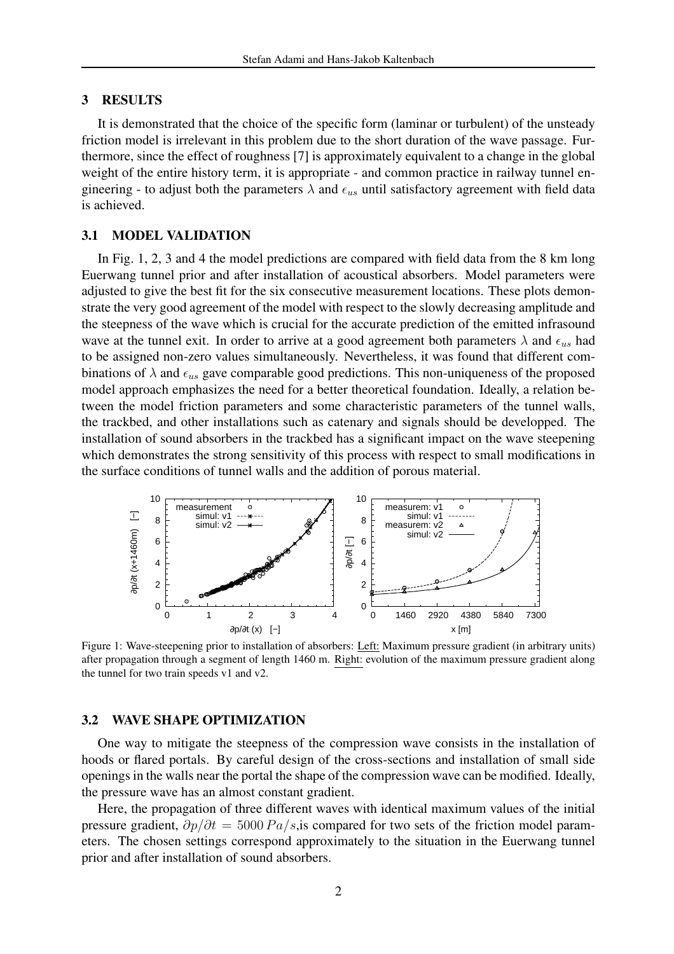#### 3 RESULTS

It is demonstrated that the choice of the specific form (laminar or turbulent) of the unsteady friction model is irrelevant in this problem due to the short duration of the wave passage. Furthermore, since the effect of roughness [7] is approximately equivalent to a change in the global weight of the entire history term, it is appropriate - and common practice in railway tunnel engineering - to adjust both the parameters  $\lambda$  and  $\epsilon_{us}$  until satisfactory agreement with field data is achieved.

#### 3.1 MODEL VALIDATION

In Fig. 1, 2, 3 and 4 the model predictions are compared with field data from the 8 km long Euerwang tunnel prior and after installation of acoustical absorbers. Model parameters were adjusted to give the best fit for the six consecutive measurement locations. These plots demonstrate the very good agreement of the model with respect to the slowly decreasing amplitude and the steepness of the wave which is crucial for the accurate prediction of the emitted infrasound wave at the tunnel exit. In order to arrive at a good agreement both parameters  $\lambda$  and  $\epsilon_{us}$  had to be assigned non-zero values simultaneously. Nevertheless, it was found that different combinations of  $\lambda$  and  $\epsilon_{us}$  gave comparable good predictions. This non-uniqueness of the proposed model approach emphasizes the need for a better theoretical foundation. Ideally, a relation between the model friction parameters and some characteristic parameters of the tunnel walls, the trackbed, and other installations such as catenary and signals should be developped. The installation of sound absorbers in the trackbed has a significant impact on the wave steepening which demonstrates the strong sensitivity of this process with respect to small modifications in the surface conditions of tunnel walls and the addition of porous material.



Figure 1: Wave-steepening prior to installation of absorbers: Left: Maximum pressure gradient (in arbitrary units) after propagation through a segment of length 1460 m. Right: evolution of the maximum pressure gradient along the tunnel for two train speeds v1 and v2.

## 3.2 WAVE SHAPE OPTIMIZATION

One way to mitigate the steepness of the compression wave consists in the installation of hoods or flared portals. By careful design of the cross-sections and installation of small side openings in the walls near the portal the shape of the compression wave can be modified. Ideally, the pressure wave has an almost constant gradient.

Here, the propagation of three different waves with identical maximum values of the initial pressure gradient,  $\partial p/\partial t = 5000 \, Pa/s$ , is compared for two sets of the friction model parameters. The chosen settings correspond approximately to the situation in the Euerwang tunnel prior and after installation of sound absorbers.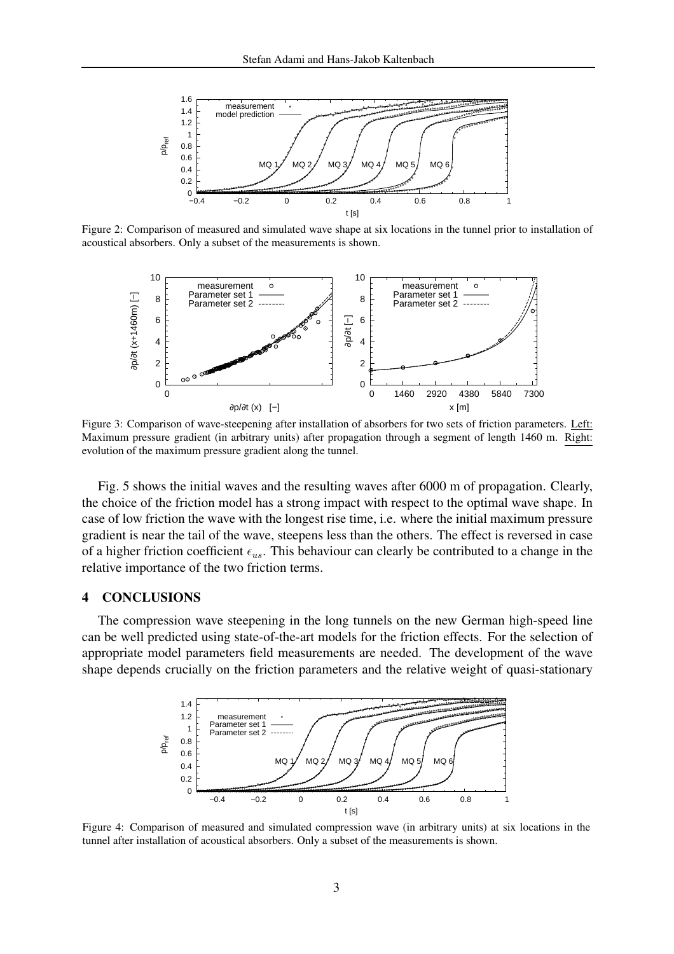

Figure 2: Comparison of measured and simulated wave shape at six locations in the tunnel prior to installation of acoustical absorbers. Only a subset of the measurements is shown.



Figure 3: Comparison of wave-steepening after installation of absorbers for two sets of friction parameters. Left: Maximum pressure gradient (in arbitrary units) after propagation through a segment of length 1460 m. Right: evolution of the maximum pressure gradient along the tunnel.

Fig. 5 shows the initial waves and the resulting waves after 6000 m of propagation. Clearly, the choice of the friction model has a strong impact with respect to the optimal wave shape. In case of low friction the wave with the longest rise time, i.e. where the initial maximum pressure gradient is near the tail of the wave, steepens less than the others. The effect is reversed in case of a higher friction coefficient  $\epsilon_{us}$ . This behaviour can clearly be contributed to a change in the relative importance of the two friction terms.

#### 4 CONCLUSIONS

The compression wave steepening in the long tunnels on the new German high-speed line can be well predicted using state-of-the-art models for the friction effects. For the selection of appropriate model parameters field measurements are needed. The development of the wave shape depends crucially on the friction parameters and the relative weight of quasi-stationary



Figure 4: Comparison of measured and simulated compression wave (in arbitrary units) at six locations in the tunnel after installation of acoustical absorbers. Only a subset of the measurements is shown.